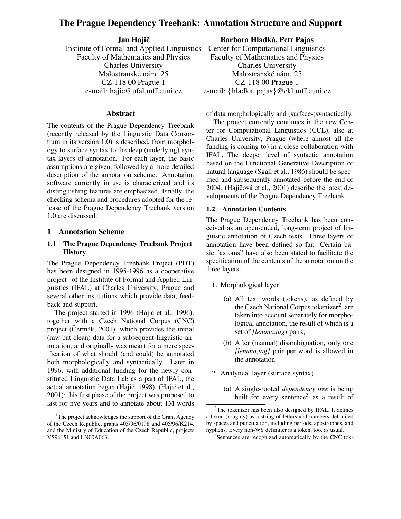# **The Prague Dependency Treebank: Annotation Structure and Support**

**Jan Hajicˇ** Institute of Formal and Applied Linguistics Faculty of Mathematics and Physics Charles University Malostranské nám. 25 CZ-118 00 Prague 1 e-mail: hajic@ufal.mff.cuni.cz

### **Abstract**

The contents of the Prague Dependency Treebank (recently released by the Linguistic Data Consortium in its version 1.0) is described, from morphology to surface syntax to the deep (underlying) syntax layers of annotation. For each layer, the basic assumptions are given, followed by a more detailed description of the annotation scheme. Annotation software currently in use is characterized and its distinguishing features are emphasized. Finally, the checking schema and procedures adopted for the release of the Prague Dependency Treebank version 1.0 are discussed.

#### **1 Annotation Scheme**

### **1.1 The Prague Dependency Treebank Project History**

The Prague Dependency Treebank Project (PDT) has been designed in 1995-1996 as a cooperative project<sup>1</sup> of the Institute of Formal and Applied Linguistics (IFAL) at Charles University, Prague and several other institutions which provide data, feedback and support.

The project started in 1996 (Hajič et al., 1996), together with a Czech National Corpus (CNC) project (Cermák,  $2001$ ), which provides the initial (raw but clean) data for a subsequent linguistic annotation, and originally was meant for a mere specification of what should (and could) be annotated both morphologically and syntactically. Later in 1996, with additional funding for the newly constituted Linguistic Data Lab as a part of IFAL, the actual annotation began (Hajič, 1998), (Hajič et al., 2001); this first phase of the project was proposed to last for five years and to annotate about 1M words **Barbora Hladka, ´ Petr Pajas**

Center for Computational Linguistics Faculty of Mathematics and Physics Charles University Malostranské nám. 25 CZ-118 00 Prague 1 e-mail: {hladka, pajas}@ckl.mff.cuni.cz

of data morphologically and (surface-)syntactically.

The project currently continues in the new Center for Computational Linguistics (CCL), also at Charles University, Prague (where almost all the funding is coming to) in a close collaboration with IFAL. The deeper level of syntactic annotation based on the Functional Generative Description of natural language (Sgall et al., 1986) should be specified and subsequently annotated before the end of 2004. (Hajičová et al., 2001) describe the latest developments of the Prague Dependency Treebank.

#### **1.2 Annotation Contents**

The Prague Dependency Treebank has been conceived as an open-ended, long-term project of linguistic annotation of Czech texts. Three layers of annotation have been defined so far. Certain basic "axioms" have also been stated to facilitate the specification of the contents of the annotation on the three layers:

- 1. Morphological layer
	- (a) All text words (tokens), as defined by the Czech National Corpus tokenizer<sup>2</sup>, are taken into account separately for morphological annotation, the result of which is a set of *[lemma,tag]* pairs;
	- (b) After (manual) disambiguation, only one *[lemma,tag]* pair per word is allowed in the annotation.
- 2. Analytical layer (surface syntax)
	- (a) A single-rooted *dependency tree* is being built for every sentence<sup>3</sup> as a result of

<sup>&</sup>lt;sup>1</sup>The project acknowledges the support of the Grant Agency of the Czech Republic, grants 405/96/0198 and 405/96/K214, and the Ministry of Education of the Czech Republic, projects VS96151 and LN00A063.

 $2$ The tokenizer has been also designed by IFAL. It defines a token (roughly) as a string of letters and numbers delimited by spaces and punctuation, including periods, apostrophes, and hyphens. Every non-WS delimiter is a token, too, as usual.

<sup>&</sup>lt;sup>3</sup>Sentences are recognized automatically by the CNC tok-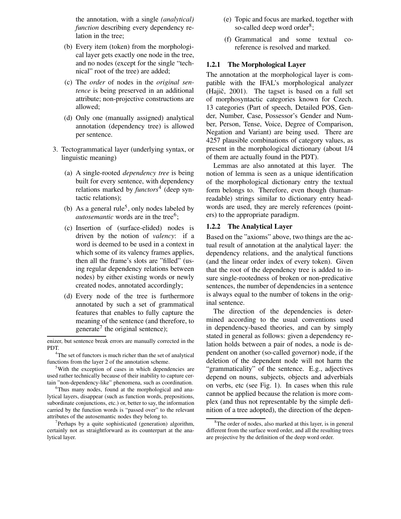the annotation, with a single *(analytical) function* describing every dependency relation in the tree;

- (b) Every item (token) from the morphological layer gets exactly one node in the tree, and no nodes (except for the single "technical" root of the tree) are added;
- (c) The *order* of nodes in the *original sentence* is being preserved in an additional attribute; non-projective constructions are allowed;
- (d) Only one (manually assigned) analytical annotation (dependency tree) is allowed per sentence.
- 3. Tectogrammatical layer (underlying syntax, or linguistic meaning)
	- (a) A single-rooted *dependency tree* is being built for every sentence, with dependency relations marked by *functors* 4 (deep syntactic relations);
	- (b) As a general rule<sup>5</sup>, only nodes labeled by *autosemantic* words are in the tree<sup>6</sup>;
	- (c) Insertion of (surface-elided) nodes is driven by the notion of *valency*: if a word is deemed to be used in a context in which some of its valency frames applies, then all the frame's slots are "filled" (using regular dependency relations between nodes) by either existing words or newly created nodes, annotated accordingly;
	- (d) Every node of the tree is furthermore annotated by such a set of grammatical features that enables to fully capture the meaning of the sentence (and therefore, to generate<sup>7</sup> the original sentence);
- (e) Topic and focus are marked, together with so-called deep word order<sup>8</sup>;
- (f) Grammatical and some textual coreference is resolved and marked.

#### **1.2.1 The Morphological Layer**

The annotation at the morphological layer is compatible with the IFAL's morphological analyzer  $(Haiŭ, 2001)$ . The tagset is based on a full set of morphosyntactic categories known for Czech. 13 categories (Part of speech, Detailed POS, Gender, Number, Case, Possessor's Gender and Number, Person, Tense, Voice, Degree of Comparison, Negation and Variant) are being used. There are 4257 plausible combinations of category values, as present in the morphological dictionary (about 1/4 of them are actually found in the PDT).

Lemmas are also annotated at this layer. The notion of lemma is seen as a unique identification of the morphological dictionary entry the textual form belongs to. Therefore, even though (humanreadable) strings similar to dictionary entry headwords are used, they are merely references (pointers) to the appropriate paradigm.

### **1.2.2 The Analytical Layer**

Based on the "axioms" above, two things are the actual result of annotation at the analytical layer: the dependency relations, and the analytical functions (and the linear order index of every token). Given that the root of the dependency tree is added to insure single-rootedness of broken or non-predicative sentences, the number of dependencies in a sentence is always equal to the number of tokens in the original sentence.

The direction of the dependencies is determined according to the usual conventions used in dependency-based theories, and can by simply stated in general as follows: given a dependency relation holds between a pair of nodes, a node is dependent on another (so-called governor) node, if the deletion of the dependent node will not harm the "grammaticality" of the sentence. E.g., adjectives depend on nouns, subjects, objects and adverbials on verbs, etc (see Fig. 1). In cases when this rule cannot be applied because the relation is more complex (and thus not representable by the simple definition of a tree adopted), the direction of the depen-

enizer, but sentence break errors are manually corrected in the PDT.

<sup>&</sup>lt;sup>4</sup>The set of functors is much richer than the set of analytical functions from the layer 2 of the annotation scheme.

<sup>5</sup>With the exception of cases in which dependencies are used rather technically because of their inability to capture certain "non-dependency-like" phenomena, such as coordination.

<sup>&</sup>lt;sup>6</sup>Thus many nodes, found at the morphological and analytical layers, disappear (such as function words, prepositions, subordinate conjunctions, etc.) or, better to say, the information carried by the function words is "passed over" to the relevant attributes of the autosemantic nodes they belong to.

<sup>&</sup>lt;sup>7</sup>Perhaps by a quite sophisticated (generation) algorithm, certainly not as straightforward as its counterpart at the analytical layer.

<sup>&</sup>lt;sup>8</sup>The order of nodes, also marked at this layer, is in general different from the surface word order, and all the resulting trees are projective by the definition of the deep word order.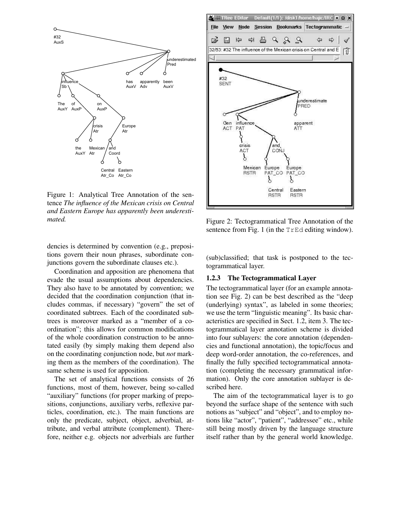

Figure 1: Analytical Tree Annotation of the sentence *The influence of the Mexican crisis on Central and Eastern Europe has apparently been underestimated.*

dencies is determined by convention (e.g., prepositions govern their noun phrases, subordinate conjunctions govern the subordinate clauses etc.).

Coordination and apposition are phenomena that evade the usual assumptions about dependencies. They also have to be annotated by convention; we decided that the coordination conjunction (that includes commas, if necessary) "govern" the set of coordinated subtrees. Each of the coordinated subtrees is moreover marked as a "member of a coordination"; this allows for common modifications of the whole coordination construction to be annotated easily (by simply making them depend also on the coordinating conjunction node, but *not* marking them as the members of the coordination). The same scheme is used for apposition.

The set of analytical functions consists of 26 functions, most of them, however, being so-called "auxiliary" functions (for proper marking of prepositions, conjunctions, auxiliary verbs, reflexive particles, coordination, etc.). The main functions are only the predicate, subject, object, adverbial, attribute, and verbal attribute (complement). Therefore, neither e.g. objects nor adverbials are further



Figure 2: Tectogrammatical Tree Annotation of the sentence from Fig. 1 (in the TrEd editing window).

(sub)classified; that task is postponed to the tectogrammatical layer.

#### **1.2.3 The Tectogrammatical Layer**

The tectogrammatical layer (for an example annotation see Fig. 2) can be best described as the "deep (underlying) syntax", as labeled in some theories; we use the term "linguistic meaning". Its basic characteristics are specified in Sect. 1.2, item 3. The tectogrammatical layer annotation scheme is divided into four sublayers: the core annotation (dependencies and functional annotation), the topic/focus and deep word-order annotation, the co-references, and finally the fully specified tectogrammatical annotation (completing the necessary grammatical information). Only the core annotation sublayer is described here.

The aim of the tectogrammatical layer is to go beyond the surface shape of the sentence with such notions as "subject" and "object", and to employ notions like "actor", "patient", "addressee" etc., while still being mostly driven by the language structure itself rather than by the general world knowledge.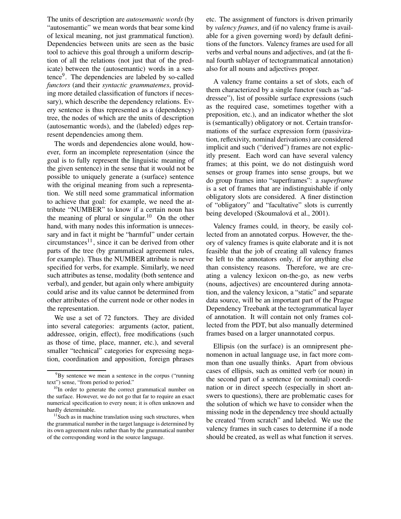The units of description are *autosemantic words* (by "autosemantic" we mean words that bear some kind of lexical meaning, not just grammatical function). Dependencies between units are seen as the basic tool to achieve this goal through a uniform description of all the relations (not just that of the predicate) between the (autosemantic) words in a sentence<sup>9</sup>. The dependencies are labeled by so-called *functors* (and their *syntactic grammatemes*, providing more detailed classification of functors if necessary), which describe the dependency relations. Every sentence is thus represented as a (dependency) tree, the nodes of which are the units of description (autosemantic words), and the (labeled) edges represent dependencies among them.

The words and dependencies alone would, however, form an incomplete representation (since the goal is to fully represent the linguistic meaning of the given sentence) in the sense that it would not be possible to uniquely generate a (surface) sentence with the original meaning from such a representation. We still need some grammatical information to achieve that goal: for example, we need the attribute "NUMBER" to know if a certain noun has the meaning of plural or singular.<sup>10</sup> On the other hand, with many nodes this information is unnecessary and in fact it might be "harmful" under certain circumstances<sup>11</sup>, since it can be derived from other parts of the tree (by grammatical agreement rules, for example). Thus the NUMBER attribute is never specified for verbs, for example. Similarly, we need such attributes as tense, modality (both sentence and verbal), and gender, but again only where ambiguity could arise and its value cannot be determined from other attributes of the current node or other nodes in the representation.

We use a set of 72 functors. They are divided into several categories: arguments (actor, patient, addressee, origin, effect), free modifications (such as those of time, place, manner, etc.), and several smaller "technical" categories for expressing negation, coordination and apposition, foreign phrases etc. The assignment of functors is driven primarily by *valency frames*, and (if no valency frame is available for a given governing word) by default definitions of the functors. Valency frames are used for all verbs and verbal nouns and adjectives, and (at the final fourth sublayer of tectogrammatical annotation) also for all nouns and adjectives proper.

A valency frame contains a set of slots, each of them characterized by a single functor (such as "addressee"), list of possible surface expressions (such as the required case, sometimes together with a preposition, etc.), and an indicator whether the slot is (semantically) obligatory or not. Certain transformations of the surface expression form (passivization, reflexivity, nominal derivations) are considered implicit and such ("derived") frames are not explicitly present. Each word can have several valency frames; at this point, we do not distinguish word senses or group frames into sense groups, but we do group frames into "superframes": a *superframe* is a set of frames that are indistinguishable if only obligatory slots are considered. A finer distinction of "obligatory" and "facultative" slots is currently being developed (Skoumalová et al., 2001).

Valency frames could, in theory, be easily collected from an annotated corpus. However, the theory of valency frames is quite elaborate and it is not feasible that the job of creating all valency frames be left to the annotators only, if for anything else than consistency reasons. Therefore, we are creating a valency lexicon on-the-go, as new verbs (nouns, adjectives) are encountered during annotation, and the valency lexicon, a "static" and separate data source, will be an important part of the Prague Dependency Treebank at the tectogrammatical layer of annotation. It will contain not only frames collected from the PDT, but also manually determined frames based on a larger unannotated corpus.

Ellipsis (on the surface) is an omnipresent phenomenon in actual language use, in fact more common than one usually thinks. Apart from obvious cases of ellipsis, such as omitted verb (or noun) in the second part of a sentence (or nominal) coordination or in direct speech (especially in short answers to questions), there are problematic cases for the solution of which we have to consider when the missing node in the dependency tree should actually be created "from scratch" and labeled. We use the valency frames in such cases to determine if a node should be created, as well as what function it serves.

<sup>&</sup>lt;sup>9</sup>By sentence we mean a sentence in the corpus ("running") text") sense, "from period to period."

<sup>&</sup>lt;sup>10</sup>In order to generate the correct grammatical number on the surface. However, we do not go that far to require an exact numerical specification to every noun; it is often unknown and hardly determinable.

 $11$ Such as in machine translation using such structures, when the grammatical number in the target language is determined by its own agreement rules rather than by the grammatical number of the corresponding word in the source language.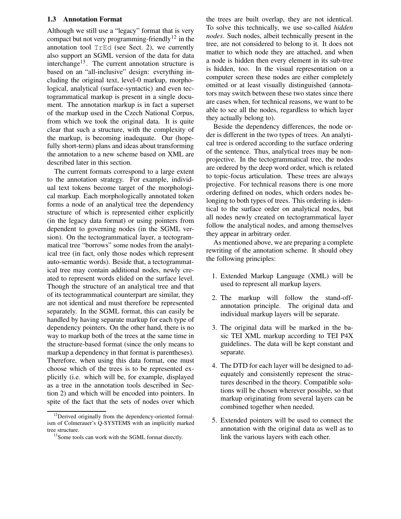#### **1.3 Annotation Format**

Although we still use a "legacy" format that is very compact but not very programming-friendly<sup>12</sup> in the annotation tool TrEd (see Sect. 2), we currently also support an SGML version of the data for data interchange<sup>13</sup>. The current annotation structure is based on an "all-inclusive" design: everything including the original text, level-0 markup, morphological, analytical (surface-syntactic) and even tectogrammatical markup is present in a single document. The annotation markup is in fact a superset of the markup used in the Czech National Corpus, from which we took the original data. It is quite clear that such a structure, with the complexity of the markup, is becoming inadequate. Our (hopefully short-term) plans and ideas about transforming the annotation to a new scheme based on XML are described later in this section.

The current formats correspond to a large extent to the annotation strategy. For example, individual text tokens become target of the morphological markup. Each morphologically annotated token forms a node of an analytical tree the dependency structure of which is represented either explicitly (in the legacy data format) or using pointers from dependent to governing nodes (in the SGML version). On the tectogrammatical layer, a tectogrammatical tree "borrows" some nodes from the analytical tree (in fact, only those nodes which represent auto-semantic words). Beside that, a tectogrammatical tree may contain additional nodes, newly created to represent words elided on the surface level. Though the structure of an analytical tree and that of its tectogrammatical counterpart are similar, they are not identical and must therefore be represented separately. In the SGML format, this can easily be handled by having separate markup for each type of dependency pointers. On the other hand, there is no way to markup both of the trees at the same time in the structure-based format (since the only means to markup a dependency in that format is parentheses). Therefore, when using this data format, one must choose which of the trees is to be represented explicitly (i.e. which will be, for example, displayed as a tree in the annotation tools described in Section 2) and which will be encoded into pointers. In spite of the fact that the sets of nodes over which the trees are built overlap, they are not identical. To solve this technically, we use so-called *hidden nodes*. Such nodes, albeit technically present in the tree, are not considered to belong to it. It does not matter to which node they are attached, and when a node is hidden then every element in its sub-tree is hidden, too. In the visual representation on a computer screen these nodes are either completely omitted or at least visually distinguished (annotators may switch between these two states since there are cases when, for technical reasons, we want to be able to see all the nodes, regardless to which layer they actually belong to).

Beside the dependency differences, the node order is different in the two types of trees. An analytical tree is ordered according to the surface ordering of the sentence. Thus, analytical trees may be nonprojective. In the tectogrammatical tree, the nodes are ordered by the deep word order, which is related to topic-focus articulation. These trees are always projective. For technical reasons there is one more ordering defined on nodes, which orders nodes belonging to both types of trees. This ordering is identical to the surface order on analytical nodes, but all nodes newly created on tectogrammatical layer follow the analytical nodes, and among themselves they appear in arbitrary order.

As mentioned above, we are preparing a complete rewriting of the annotation scheme. It should obey the following principles:

- 1. Extended Markup Language (XML) will be used to represent all markup layers.
- 2. The markup will follow the stand-offannotation principle. The original data and individual markup layers will be separate.
- 3. The original data will be marked in the basic TEI XML markup according to TEI P4X guidelines. The data will be kept constant and separate.
- 4. The DTD for each layer will be designed to adequately and consistently represent the structures described in the theory. Compatible solutions will be chosen wherever possible, so that markup originating from several layers can be combined together when needed.
- 5. Extended pointers will be used to connect the annotation with the original data as well as to link the various layers with each other.

<sup>&</sup>lt;sup>12</sup>Derived originally from the dependency-oriented formalism of Colmerauer's Q-SYSTEMS with an implicitly marked tree structure.

<sup>&</sup>lt;sup>13</sup>Some tools can work with the SGML format directly.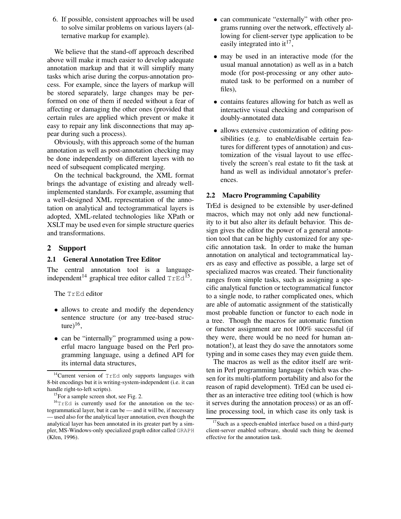6. If possible, consistent approaches will be used to solve similar problems on various layers (alternative markup for example).

We believe that the stand-off approach described above will make it much easier to develop adequate annotation markup and that it will simplify many tasks which arise during the corpus-annotation process. For example, since the layers of markup will be stored separately, large changes may be performed on one of them if needed without a fear of affecting or damaging the other ones (provided that certain rules are applied which prevent or make it easy to repair any link disconnections that may appear during such a process).

Obviously, with this approach some of the human annotation as well as post-annotation checking may be done independently on different layers with no need of subsequent complicated merging.

On the technical background, the XML format brings the advantage of existing and already wellimplemented standards. For example, assuming that a well-designed XML representation of the annotation on analytical and tectogrammatical layers is adopted, XML-related technologies like XPath or XSLT may be used even for simple structure queries and transformations.

# **2 Support**

### **2.1 General Annotation Tree Editor**

The central annotation tool is a languageindependent<sup>14</sup> graphical tree editor called  $TrEd$ <sup>15</sup>.

The TrEd editor

- allows to create and modify the dependency sentence structure (or any tree-based structure) $^{16}$ ,
- can be "internally" programmed using a powerful macro language based on the Perl programming language, using a defined API for its internal data structures,
- can communicate "externally" with other programs running over the network, effectively allowing for client-server type application to be easily integrated into it<sup>17</sup>,
- may be used in an interactive mode (for the usual manual annotation) as well as in a batch mode (for post-processing or any other automated task to be performed on a number of files),
- contains features allowing for batch as well as interactive visual checking and comparison of doubly-annotated data
- allows extensive customization of editing possibilities (e.g. to enable/disable certain features for different types of annotation) and customization of the visual layout to use effectively the screen's real estate to fit the task at hand as well as individual annotator's preferences.

### **2.2 Macro Programming Capability**

TrEd is designed to be extensible by user-defined macros, which may not only add new functionality to it but also alter its default behavior. This design gives the editor the power of a general annotation tool that can be highly customized for any specific annotation task. In order to make the human annotation on analytical and tectogrammatical layers as easy and effective as possible, a large set of specialized macros was created. Their functionality ranges from simple tasks, such as assigning a specific analytical function or tectogrammatical functor to a single node, to rather complicated ones, which are able of automatic assignment of the statistically most probable function or functor to each node in a tree. Though the macros for automatic function or functor assignment are not 100% successful (if they were, there would be no need for human annotation!), at least they do save the annotators some typing and in some cases they may even guide them.

The macros as well as the editor itself are written in Perl programming language (which was chosen for its multi-platform portability and also for the reason of rapid development). TrEd can be used either as an interactive tree editing tool (which is how it serves during the annotation process) or as an offline processing tool, in which case its only task is

 $14$ Current version of TrEd only supports languages with 8-bit encodings but it is writing-system-independent (i.e. it can handle right-to-left scripts).

 $15$ For a sample screen shot, see Fig. 2.

 $16$ <sub>TrEd</sub> is currently used for the annotation on the tectogrammatical layer, but it can be — and it will be, if necessary — used also for the analytical layer annotation, even though the analytical layer has been annotated in its greater part by a simpler, MS-Windows-only specialized graph editor called GRAPH (Křen, 1996).

<sup>&</sup>lt;sup>17</sup>Such as a speech-enabled interface based on a third-party client-server enabled software, should such thing be deemed effective for the annotation task.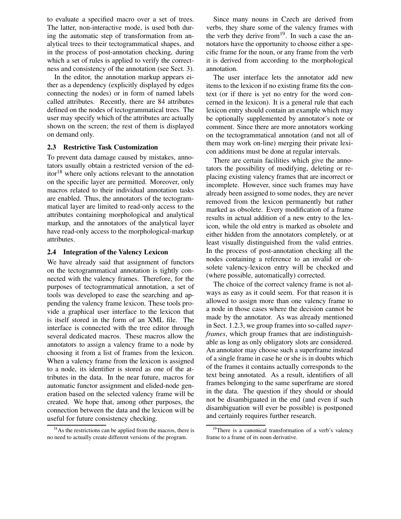to evaluate a specified macro over a set of trees. The latter, non-interactive mode, is used both during the automatic step of transformation from analytical trees to their tectogrammatical shapes, and in the process of post-annotation checking, during which a set of rules is applied to verify the correctness and consistency of the annotation (see Sect. 3).

In the editor, the annotation markup appears either as a dependency (explicitly displayed by edges connecting the nodes) or in form of named labels called attributes. Recently, there are 84 attributes defined on the nodes of tectogrammatical trees. The user may specify which of the attributes are actually shown on the screen; the rest of them is displayed on demand only.

#### **2.3 Restrictive Task Customization**

To prevent data damage caused by mistakes, annotators usually obtain a restricted version of the ed $itor^{18}$  where only actions relevant to the annotation on the specific layer are permitted. Moreover, only macros related to their individual annotation tasks are enabled. Thus, the annotators of the tectogrammatical layer are limited to read-only access to the attributes containing morphological and analytical markup, and the annotators of the analytical layer have read-only access to the morphological-markup attributes.

#### **2.4 Integration of the Valency Lexicon**

We have already said that assignment of functors on the tectogrammatical annotation is tightly connected with the valency frames. Therefore, for the purposes of tectogrammatical annotation, a set of tools was developed to ease the searching and appending the valency frame lexicon. These tools provide a graphical user interface to the lexicon that is itself stored in the form of an XML file. The interface is connected with the tree editor through several dedicated macros. These macros allow the annotators to assign a valency frame to a node by choosing it from a list of frames from the lexicon. When a valency frame from the lexicon is assigned to a node, its identifier is stored as one of the attributes in the data. In the near future, macros for automatic functor assignment and elided-node generation based on the selected valency frame will be created. We hope that, among other purposes, the connection between the data and the lexicon will be useful for future consistency checking.

Since many nouns in Czech are derived from verbs, they share some of the valency frames with the verb they derive from  $19$ . In such a case the annotators have the opportunity to choose either a specific frame for the noun, or any frame from the verb it is derived from according to the morphological annotation.

The user interface lets the annotator add new items to the lexicon if no existing frame fits the context (or if there is yet no entry for the word concerned in the lexicon). It is a general rule that each lexicon entry should contain an example which may be optionally supplemented by annotator's note or comment. Since there are more annotators working on the tectogrammatical annotation (and not all of them may work on-line) merging their private lexicon additions must be done at regular intervals.

There are certain facilities which give the annotators the possibility of modifying, deleting or replacing existing valency frames that are incorrect or incomplete. However, since such frames may have already been assigned to some nodes, they are never removed from the lexicon permanently but rather marked as obsolete. Every modification of a frame results in actual addition of a new entry to the lexicon, while the old entry is marked as obsolete and either hidden from the annotators completely, or at least visually distinguished from the valid entries. In the process of post-annotation checking all the nodes containing a reference to an invalid or obsolete valency-lexicon entry will be checked and (where possible, automatically) corrected.

The choice of the correct valency frame is not always as easy as it could seem. For that reason it is allowed to assign more than one valency frame to a node in those cases where the decision cannot be made by the annotator. As was already mentioned in Sect. 1.2.3, we group frames into so-called *superframes*, which group frames that are indistinguishable as long as only obligatory slots are considered. An annotator may choose such a superframe instead of a single frame in case he or she is in doubts which of the frames it contains actually corresponds to the text being annotated. As a result, identifiers of all frames belonging to the same superframe are stored in the data. The question if they should or should not be disambiguated in the end (and even if such disambiguation will ever be possible) is postponed and certainly requires further research.

 $18\text{As}$  the restrictions can be applied from the macros, there is no need to actually create different versions of the program.

<sup>&</sup>lt;sup>19</sup>There is a canonical transformation of a verb's valency frame to a frame of its noun derivative.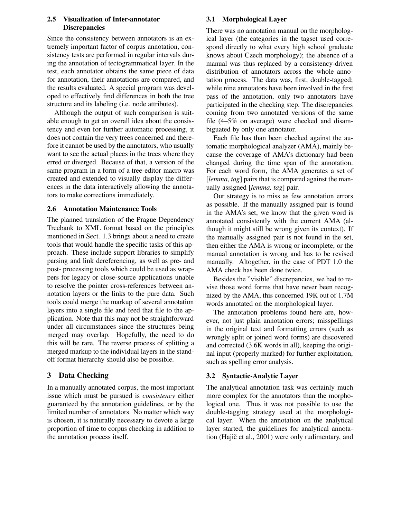### **2.5 Visualization of Inter-annotator Discrepancies**

Since the consistency between annotators is an extremely important factor of corpus annotation, consistency tests are performed in regular intervals during the annotation of tectogrammatical layer. In the test, each annotator obtains the same piece of data for annotation, their annotations are compared, and the results evaluated. A special program was developed to effectively find differences in both the tree structure and its labeling (i.e. node attributes).

Although the output of such comparison is suitable enough to get an overall idea about the consistency and even for further automatic processing, it does not contain the very trees concerned and therefore it cannot be used by the annotators, who usually want to see the actual places in the trees where they erred or diverged. Because of that, a version of the same program in a form of a tree-editor macro was created and extended to visually display the differences in the data interactively allowing the annotators to make corrections immediately.

### **2.6 Annotation Maintenance Tools**

The planned translation of the Prague Dependency Treebank to XML format based on the principles mentioned in Sect. 1.3 brings about a need to create tools that would handle the specific tasks of this approach. These include support libraries to simplify parsing and link dereferencing, as well as pre- and post- processing tools which could be used as wrappers for legacy or close-source applications unable to resolve the pointer cross-references between annotation layers or the links to the pure data. Such tools could merge the markup of several annotation layers into a single file and feed that file to the application. Note that this may not be straightforward under all circumstances since the structures being merged may overlap. Hopefully, the need to do this will be rare. The reverse process of splitting a merged markup to the individual layers in the standoff format hierarchy should also be possible.

# **3 Data Checking**

In a manually annotated corpus, the most important issue which must be pursued is *consistency* either guaranteed by the annotation guidelines, or by the limited number of annotators. No matter which way is chosen, it is naturally necessary to devote a large proportion of time to corpus checking in addition to the annotation process itself.

# **3.1 Morphological Layer**

There was no annotation manual on the morphological layer (the categories in the tagset used correspond directly to what every high school graduate knows about Czech morphology); the absence of a manual was thus replaced by a consistency-driven distribution of annotators across the whole annotation process. The data was, first, double-tagged; while nine annotators have been involved in the first pass of the annotation, only two annotators have participated in the checking step. The discrepancies coming from two annotated versions of the same file (4–5% on average) were checked and disambiguated by only one annotator.

Each file has than been checked against the automatic morphological analyzer (AMA), mainly because the coverage of AMA's dictionary had been changed during the time span of the annotation. For each word form, the AMA generates a set of [*lemma*, *tag*] pairs that is compared against the manually assigned [*lemma, tag*] pair.

Our strategy is to miss as few annotation errors as possible. If the manually assigned pair is found in the AMA's set, we know that the given word is annotated consistently with the current AMA (although it might still be wrong given its context). If the manually assigned pair is not found in the set, then either the AMA is wrong or incomplete, or the manual annotation is wrong and has to be revised manually. Altogether, in the case of PDT 1.0 the AMA check has been done twice.

Besides the "visible" discrepancies, we had to revise those word forms that have never been recognized by the AMA, this concerned 19K out of 1.7M words annotated on the morphological layer.

The annotation problems found here are, however, not just plain annotation errors; misspellings in the original text and formatting errors (such as wrongly split or joined word forms) are discovered and corrected (3.6K words in all), keeping the original input (properly marked) for further exploitation, such as spelling error analysis.

# **3.2 Syntactic-Analytic Layer**

The analytical annotation task was certainly much more complex for the annotators than the morphological one. Thus it was not possible to use the double-tagging strategy used at the morphological layer. When the annotation on the analytical layer started, the guidelines for analytical annotation (Hajič et al., 2001) were only rudimentary, and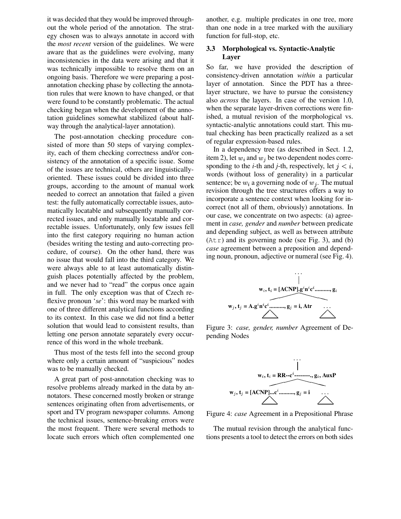it was decided that they would be improved throughout the whole period of the annotation. The strategy chosen was to always annotate in accord with the *most recent* version of the guidelines. We were aware that as the guidelines were evolving, many inconsistencies in the data were arising and that it was technically impossible to resolve them on an ongoing basis. Therefore we were preparing a postannotation checking phase by collecting the annotation rules that were known to have changed, or that were found to be constantly problematic. The actual checking began when the development of the annotation guidelines somewhat stabilized (about halfway through the analytical-layer annotation).

The post-annotation checking procedure consisted of more than 50 steps of varying complexity, each of them checking correctness and/or consistency of the annotation of a specific issue. Some of the issues are technical, others are linguisticallyoriented. These issues could be divided into three groups, according to the amount of manual work needed to correct an annotation that failed a given test: the fully automatically correctable issues, automatically locatable and subsequently manually corrected issues, and only manually locatable and correctable issues. Unfortunately, only few issues fell into the first category requiring no human action (besides writing the testing and auto-correcting procedure, of course). On the other hand, there was no issue that would fall into the third category. We were always able to at least automatically distinguish places potentially affected by the problem, and we never had to "read" the corpus once again in full. The only exception was that of Czech reflexive pronoun '*se*': this word may be marked with one of three different analytical functions according to its context. In this case we did not find a better solution that would lead to consistent results, than letting one person annotate separately every occurrence of this word in the whole treebank.

Thus most of the tests fell into the second group where only a certain amount of "suspicious" nodes was to be manually checked.

A great part of post-annotation checking was to resolve problems already marked in the data by annotators. These concerned mostly broken or strange sentences originating often from advertisements, or sport and TV program newspaper columns. Among the technical issues, sentence-breaking errors were the most frequent. There were several methods to locate such errors which often complemented one another, e.g. multiple predicates in one tree, more than one node in a tree marked with the auxiliary function for full-stop, etc.

#### **3.3 Morphological vs. Syntactic-Analytic Layer**

So far, we have provided the description of consistency-driven annotation *within* a particular layer of annotation. Since the PDT has a threelayer structure, we have to pursue the consistency also *across* the layers. In case of the version 1.0, when the separate layer-driven corrections were finished, a mutual revision of the morphological vs. syntactic-analytic annotations could start. This mutual checking has been practically realized as a set of regular expression-based rules.

In a dependency tree (as described in Sect. 1.2, item 2), let  $w_i$  and  $w_j$  be two dependent nodes corresponding to the *i*-th and *j*-th, respectively, let  $j < i$ , words (without loss of generality) in a particular sentence; be  $w_i$  a governing node of  $w_j$ . The mutual revision through the tree structures offers a way to incorporate a sentence context when looking for incorrect (not all of them, obviously) annotations. In our case, we concentrate on two aspects: (a) agreement in *case, gender* and *number* between predicate and depending subject, as well as between attribute  $(Atr)$  and its governing node (see Fig. 3), and (b) *case* agreement between a preposition and depending noun, pronoun, adjective or numeral (see Fig. 4).



Figure 3: *case, gender, number* Agreement of Depending Nodes



Figure 4: *case* Agreement in a Prepositional Phrase

The mutual revision through the analytical functions presents a tool to detect the errors on both sides